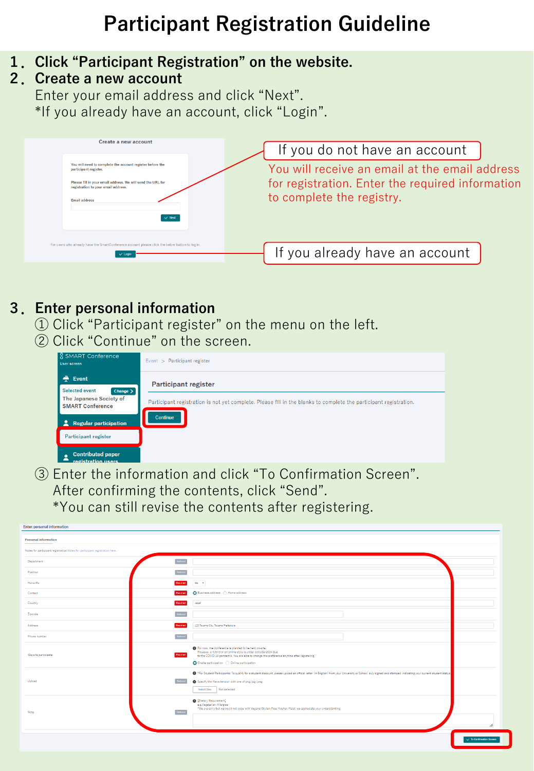# **Participant Registration Guideline**

- **1.Click "Participant Registration" on the website.**
- **2.Create a new account**

Enter your email address and click "Next". \*If you already have an account, click "Login".



## **3.Enter personal information**

- ① Click "Participant register" on the menu on the left.
- ② Click "Continue" on the screen.



③ Enter the information and click "To Confirmation Screen". After confirming the contents, click "Send". \*You can still revise the contents after registering.

| <b>Enter personal information</b>                                           |                |                                                                                                                                                                                                                                                                                                       |                                     |
|-----------------------------------------------------------------------------|----------------|-------------------------------------------------------------------------------------------------------------------------------------------------------------------------------------------------------------------------------------------------------------------------------------------------------|-------------------------------------|
| <b>Personal information</b>                                                 |                |                                                                                                                                                                                                                                                                                                       |                                     |
| Notes for participant registration.Notes for participant registration here. |                |                                                                                                                                                                                                                                                                                                       |                                     |
| Department                                                                  | Optional       |                                                                                                                                                                                                                                                                                                       |                                     |
| Position                                                                    |                |                                                                                                                                                                                                                                                                                                       |                                     |
| Honorific                                                                   | Regulred       | $Ms$ , $v$                                                                                                                                                                                                                                                                                            |                                     |
| Contact                                                                     | Repulsed       | ● Business address ● Home address                                                                                                                                                                                                                                                                     |                                     |
| Country                                                                     | Required       | Japan                                                                                                                                                                                                                                                                                                 |                                     |
| Ziocode                                                                     | Optiona        |                                                                                                                                                                                                                                                                                                       |                                     |
| Address                                                                     | Required       | 120 Toyama City, Toyama Prefecture                                                                                                                                                                                                                                                                    |                                     |
| Phone number                                                                | Optional       |                                                                                                                                                                                                                                                                                                       |                                     |
| Ways to participate                                                         | Required       | For now, the conference is planned to be held on-aite.<br>However, a hybrid or an online style is under consideration due<br>to the COVID-19 pandemic. You are able to change the preference anytime after registering.<br>Onsite participation ( Online participation                                |                                     |
| Upload                                                                      | Optional       | . Tor Student Participants: To qualify for a student discount; please upload an official letter (in English) from your University or School, duly signed and stamped, indicating your current student status,<br>Specify the file extension with one of png/jpg/jpeg.<br>Not selected<br>Select files |                                     |
| Note                                                                        | <u>Jatiena</u> | <sup>[Dietary Requirement]</sup><br>e.g.Vegetarian/Allergies<br>*We are sorry but we could not cope with Vegans/Gluten-Free/Kosher/Halal, we appreciate your understanding.                                                                                                                           | ı                                   |
|                                                                             |                |                                                                                                                                                                                                                                                                                                       | $\checkmark$ To Confirmation Screen |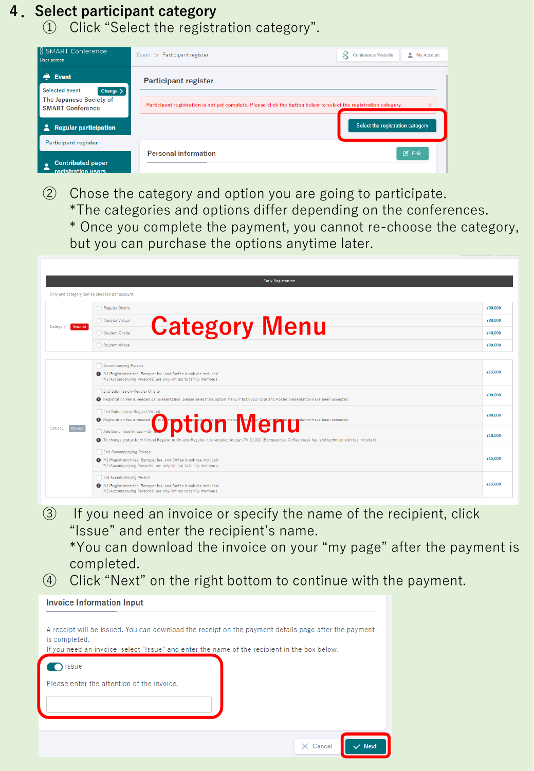#### **4.Select participant category**

① Click "Select the registration category".

| <b>8 SMART Conference</b><br>User screen                    | Event > Participant register                                                                                     | My Account<br><b>Conference Website</b> |
|-------------------------------------------------------------|------------------------------------------------------------------------------------------------------------------|-----------------------------------------|
| $\triangle$ Event<br><b>Selected event</b><br>Change $\geq$ | <b>Participant register</b>                                                                                      |                                         |
| The Japanese Society of<br><b>SMART Conference</b>          | Participant registration is not yet complete. Please click the button below to select the registration category. | ×                                       |
| <b>Regular participation</b>                                |                                                                                                                  | Select the registration category        |
| Participant register                                        | <b>Personal information</b>                                                                                      | $\Box$ Edit                             |
| <b>Contributed paper</b><br>registration users              |                                                                                                                  |                                         |

② Chose the category and option you are going to participate.

\*The categories and options differ depending on the conferences.

\* Once you complete the payment, you cannot re-choose the category, but you can purchase the options anytime later.

|                      | <b>Early Registration</b>                                                                                                                                                                                                         |         |
|----------------------|-----------------------------------------------------------------------------------------------------------------------------------------------------------------------------------------------------------------------------------|---------|
|                      | Only one category can be choosed per account.                                                                                                                                                                                     |         |
|                      | Regular Onsite                                                                                                                                                                                                                    | ¥90,000 |
| Category<br>Required | Regular Virtual                                                                                                                                                                                                                   | ¥80,000 |
|                      | <b>Category Menu</b><br>Student Onsite                                                                                                                                                                                            | ¥40,000 |
|                      | Student Virtual                                                                                                                                                                                                                   | ¥30.000 |
|                      | Accompanying Person                                                                                                                                                                                                               |         |
| Option1<br>Optional  | <sup>*</sup> (1)Registration fee, Banquet fee, and Coffee break fee included.<br>*(2)Accompanying Person(s) are only limited to family members.                                                                                   | ¥15.000 |
|                      | 2nd Submission-Regular Onsite<br>Registration fee is needed per presentation, please select this option menu if both your Oral and Poster presentation have been accepted.                                                        | ¥90,000 |
|                      | 2nd Submission-Regular Virtual                                                                                                                                                                                                    | ¥80,000 |
|                      | <sup>O</sup> Registration fee is needed <b>ODDU DEFON MENU</b><br>● To change status from Virtual Regular to On-site Regular, it is required to pay JPY 10,000 (Banquet fee, Coffee break fee, and technical visit fee included). | ¥10.000 |
|                      | 2nd Accompanying Person                                                                                                                                                                                                           |         |
|                      | <sup>4</sup> (1) Registration fee. Banquet fee, and Coffee break fee included.<br>*(2)Accompanying Person(s) are only limited to family members.                                                                                  | ¥15.000 |
|                      | 3rd Accompanying Person                                                                                                                                                                                                           |         |
|                      | <sup>9</sup> (1) Registration fee, Banquet fee, and Coffee break fee included.<br>*(2)Accompanying Person(s) are only limited to family members.                                                                                  | ¥15,000 |

③ If you need an invoice or specify the name of the recipient, click "Issue" and enter the recipient's name.

\*You can download the invoice on your "my page" after the payment is completed.

④ Click "Next" on the right bottom to continue with the payment.

| <b>Invoice Information Input</b>                                                                                                                                                                                      |  |
|-----------------------------------------------------------------------------------------------------------------------------------------------------------------------------------------------------------------------|--|
| A receipt will be issued. You can download the receipt on the payment details page after the payment<br>is completed.<br>If you need an invoice, select "Issue" and enter the name of the recipient in the box below. |  |
| ssue                                                                                                                                                                                                                  |  |
| Please enter the attention of the invoice.                                                                                                                                                                            |  |
| $\vee$ Next<br>$\times$ Cancel                                                                                                                                                                                        |  |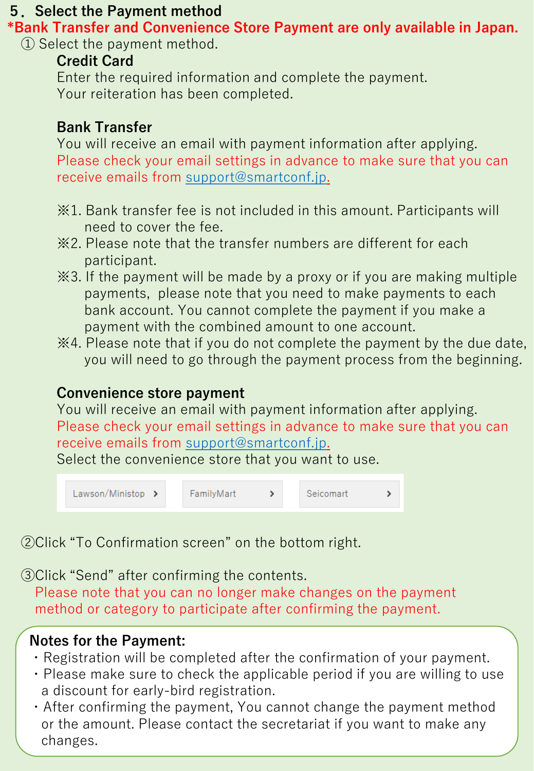#### **5.Select the Payment method**

**\*Bank Transfer and Convenience Store Payment are only available in Japan.** ① Select the payment method.

# **Credit Card**

Enter the required information and complete the payment. Your reiteration has been completed.

## **Bank Transfer**

You will receive an email with payment information after applying. Please check your email settings in advance to make sure that you can receive emails from [support@smartconf.jp.](mailto:support@smartconf.jp)

- ※1. Bank transfer fee is not included in this amount. Participants will need to cover the fee.
- ※2. Please note that the transfer numbers are different for each participant.
- ※3. If the payment will be made by a proxy or if you are making multiple payments, please note that you need to make payments to each bank account. You cannot complete the payment if you make a payment with the combined amount to one account.
- ※4. Please note that if you do not complete the payment by the due date, you will need to go through the payment process from the beginning.

# **Convenience store payment**

You will receive an email with payment information after applying. Please check your email settings in advance to make sure that you can receive emails from [support@smartconf.jp.](mailto:support@smartconf.jp)

Select the convenience store that you want to use.



②Click "To Confirmation screen" on the bottom right.

③Click "Send" after confirming the contents.

Please note that you can no longer make changes on the payment method or category to participate after confirming the payment.

# **Notes for the Payment:**

- ・Registration will be completed after the confirmation of your payment.
- ・Please make sure to check the applicable period if you are willing to use a discount for early-bird registration.
- ・After confirming the payment, You cannot change the payment method or the amount. Please contact the secretariat if you want to make any changes.